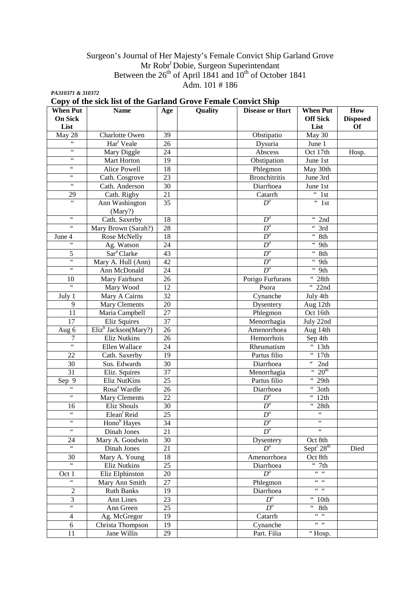### Surgeon's Journal of Her Majesty's Female Convict Ship Garland Grove Mr Robr<sup>t</sup> Dobie, Surgeon Superintendant Between the  $26<sup>th</sup>$  of April 1841 and  $10<sup>th</sup>$  of October 1841 Adm.  $101 \# 186$

*PA310371 & 310372* 

# **Copy of the sick list of the Garland Grove Female Convict Ship**

| <b>When Put</b>                         | <b>Name</b>              | Age             | Quality | <b>Disease or Hurt</b> | <b>When Put</b>                         | How             |
|-----------------------------------------|--------------------------|-----------------|---------|------------------------|-----------------------------------------|-----------------|
| <b>On Sick</b>                          |                          |                 |         |                        | <b>Off Sick</b>                         | <b>Disposed</b> |
| List                                    |                          |                 |         |                        | List                                    | <b>Of</b>       |
| May $28$                                | Charlotte Owen           | 39              |         | Obstipatio             | May 30                                  |                 |
| 66                                      | Har <sup>t</sup> Veale   | 26              |         | Dysuria                | June 1                                  |                 |
| $\epsilon\,\epsilon$                    | Mary Diggle              | 24              |         | Abscess                | Oct 17th                                | Hosp.           |
| $\zeta\,\zeta$                          | Mart Horton              | 19              |         | Obstipation            | June 1st                                |                 |
| $\zeta$ $\zeta$                         | Alice Powell             | 18              |         | Phlegmon               | May 30th                                |                 |
| $\zeta$ $\zeta$                         | Cath. Cosgrove           | 23              |         | <b>Bronchitritis</b>   | June 3rd                                |                 |
| $\zeta\,\zeta$                          | Cath. Anderson           | $\overline{30}$ |         | Diarrhoea              | June 1st                                |                 |
| 29                                      | Cath. Rigby              | 21              |         | Catarrh                | $\overline{4 \cdot 1}$ st               |                 |
| $\overline{\mathfrak{c}}$               | Ann Washington           | $\overline{35}$ |         | $D^o$                  | $\overline{4}$ 1st                      |                 |
|                                         | (Mary?)                  |                 |         |                        |                                         |                 |
| $\zeta\,\zeta$                          | Cath. Saxerby            | 18              |         | $D^o$                  | $\frac{1}{2}$ 2nd                       |                 |
| $\zeta\,\zeta$                          | Mary Brown (Sarah?)      | 28              |         | $\overline{D}^o$       | $\overline{3}$ rd                       |                 |
| June 4                                  | Rose McNelly             | 18              |         | $\overline{D^o}$       | $\overline{4}$ 8th                      |                 |
| $\zeta$ $\zeta$                         | Ag. Watson               | 24              |         | $\overline{D^o}$       | $\overline{4.9}$ th                     |                 |
| 5                                       | Sar <sup>a</sup> Clarke  | 43              |         | $\overline{D^o}$       | $\overline{8th}$                        |                 |
| $\zeta\,\zeta$                          | Mary A. Hull (Ann)       | 42              |         | $\overline{D^o}$       | $\overline{4.9}$ th                     |                 |
| $\zeta\,\zeta$                          | Ann McDonald             | 24              |         | $D^o$                  | $\overline{4.9}$ th                     |                 |
| 10                                      | Mary Fairhurst           | 26              |         | Porigo Furfurans       | $\frac{1}{10}$ 28th                     |                 |
| $\overline{\mathcal{L}}$                | Mary Wood                | 12              |         | Psora                  | 66<br>22nd                              |                 |
| July 1                                  | Mary A Cairns            | 32              |         | Cynanche               | July 4th                                |                 |
| $\mathbf{Q}$                            | <b>Mary Clements</b>     | 20              |         | Dysentery              | Aug 12th                                |                 |
| 11                                      | Maria Campbell           | 27              |         | Phlegmon               | Oct 16th                                |                 |
| 17                                      | <b>Eliz Squires</b>      | 37              |         | Menorrhagia            | July 22nd                               |                 |
| Aug 6                                   | $Eliz^h$ Jackson(Mary?)  | 26              |         | Amenorrhoea            | Aug 14th                                |                 |
| $\overline{7}$                          | <b>Eliz Nutkins</b>      | 26              |         | Hemorrhois             | Sep 4th                                 |                 |
| $\epsilon$                              | <b>Ellen Wallace</b>     | $\overline{24}$ |         | Rheumatism             | $\overline{4\cdot 13}$ th               |                 |
| $\overline{22}$                         | Cath. Saxerby            | $\overline{19}$ |         | Partus filio           | $\overline{17}$ th                      |                 |
| $\overline{30}$                         | Sus. Edwards             | $\overline{30}$ |         | Diarrhoea              | $\overline{a}$ 2nd                      |                 |
| $\overline{31}$                         | Eliz. Squires            | 37              |         | Menorrhagia            | $\cdot \cdot 20^{th}$                   |                 |
| $Sep\overline{9}$                       | <b>Eliz NutKins</b>      | $\overline{25}$ |         | Partus filio           | $\frac{4}{12}$ 29th                     |                 |
| $\epsilon$                              | Rosa <sup>a</sup> Wardle | 26              |         | Diarrhoea              | $\overline{\cdot \cdot 3}$ oth          |                 |
| 66                                      | Mary Clements            | $\overline{22}$ |         | $D^o$                  | $\sqrt[4]{12}$ th                       |                 |
| 16                                      | Eliz Shouls              | $\overline{30}$ |         | $D^o$                  | $\overline{28th}$                       |                 |
| $\zeta\,\zeta$                          | Elean <sup>r</sup> Reid  | $\overline{25}$ |         | $D^o$                  | $\boldsymbol{\zeta} \boldsymbol{\zeta}$ |                 |
| $\zeta\,\zeta$                          | Hono <sup>h</sup> Hayes  | 34              |         | $D^o$                  | $\overline{\mathfrak{c}}$               |                 |
| $\boldsymbol{\zeta} \boldsymbol{\zeta}$ | Dinah Jones              | 21              |         | $\overline{D}^o$       | $\epsilon$                              |                 |
| 24                                      | Mary A. Goodwin          | 30              |         | Dysentery              | Oct 8th                                 |                 |
| 66                                      | Dinah Jones              | $\overline{21}$ |         | $D^o$                  | Sept <sup>r</sup> 28 <sup>th</sup>      | Died            |
| 30                                      | Mary A. Young            | 18              |         | Amenorrhoea            | Oct 8th                                 |                 |
| 66                                      | Eliz Nutkins             | $\overline{25}$ |         | Diarrhoea              | $\cdot \cdot \cdot$ 7th                 |                 |
| Oct 1                                   | Eliz Elphinston          | 20              |         | $D^o$                  | $66 - 66$                               |                 |
|                                         | Mary Ann Smith           | $\overline{27}$ |         | Phlegmon               | $66 - 66$                               |                 |
| $\overline{2}$                          | <b>Ruth Banks</b>        | 19              |         | Diarrhoea              | $66 - 66$                               |                 |
| $\overline{3}$                          | Ann Lines                | $\overline{23}$ |         | $D^o$                  | $\overline{10}$ th                      |                 |
| $\epsilon$                              | Ann Green                | $\overline{25}$ |         | $D^o$                  | $66 -$<br>8th                           |                 |
| $\overline{4}$                          | Ag. McGregor             | 19              |         | Catarrh                | $66 - 66$                               |                 |
| $\sqrt{6}$                              | Christa Thompson         | 19              |         | Cynanche               | $66 - 66$                               |                 |
| $\overline{11}$                         | Jane Willis              | 29              |         | Part. Filia            | "Hosp.                                  |                 |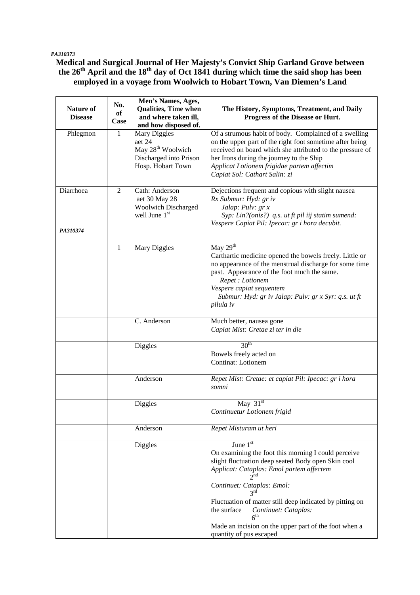### *PA310373*

# **Medical and Surgical Journal of Her Majesty's Convict Ship Garland Grove between the 26th April and the 18th day of Oct 1841 during which time the said shop has been employed in a voyage from Woolwich to Hobart Town, Van Diemen's Land**

| <b>Nature of</b><br><b>Disease</b> | No.<br>of<br>Case | Men's Names, Ages,<br><b>Qualities, Time when</b><br>and where taken ill,<br>and how disposed of.      | The History, Symptoms, Treatment, and Daily<br>Progress of the Disease or Hurt.                                                                                                                                                                                                                                                                                                                                                            |
|------------------------------------|-------------------|--------------------------------------------------------------------------------------------------------|--------------------------------------------------------------------------------------------------------------------------------------------------------------------------------------------------------------------------------------------------------------------------------------------------------------------------------------------------------------------------------------------------------------------------------------------|
| Phlegmon                           | $\mathbf{1}$      | Mary Diggles<br>aet 24<br>May 28 <sup>th</sup> Woolwich<br>Discharged into Prison<br>Hosp. Hobart Town | Of a strumous habit of body. Complained of a swelling<br>on the upper part of the right foot sometime after being<br>received on board which she attributed to the pressure of<br>her Irons during the journey to the Ship<br>Applicat Lotionem frigidae partem affectim<br>Capiat Sol: Cathart Salin: zi                                                                                                                                  |
| Diarrhoea<br>PA310374              | $\overline{2}$    | Cath: Anderson<br>aet 30 May 28<br><b>Woolwich Discharged</b><br>well June $1st$                       | Dejections frequent and copious with slight nausea<br>Rx Submur: Hyd: gr iv<br>Jalap: Pulv: gr x<br>Syp: Lin?(onis?) q.s. ut ft pil iij statim sumend:<br>Vespere Capiat Pil: Ipecac: gr i hora decubit.                                                                                                                                                                                                                                   |
|                                    | 1                 | Mary Diggles                                                                                           | May $29th$<br>Carthartic medicine opened the bowels freely. Little or<br>no appearance of the menstrual discharge for some time<br>past. Appearance of the foot much the same.<br>Repet : Lotionem<br>Vespere capiat sequentem<br>Submur: Hyd: gr iv Jalap: Pulv: gr x Syr: q.s. ut ft<br>pilula iv                                                                                                                                        |
|                                    |                   | C. Anderson                                                                                            | Much better, nausea gone<br>Capiat Mist: Cretae zi ter in die                                                                                                                                                                                                                                                                                                                                                                              |
|                                    |                   | Diggles                                                                                                | 30 <sup>th</sup><br>Bowels freely acted on<br>Continat: Lotionem                                                                                                                                                                                                                                                                                                                                                                           |
|                                    |                   | Anderson                                                                                               | Repet Mist: Cretae: et capiat Pil: Ipecac: gr i hora<br>somni                                                                                                                                                                                                                                                                                                                                                                              |
|                                    |                   | <b>Diggles</b>                                                                                         | May $31st$<br>Continuetur Lotionem frigid                                                                                                                                                                                                                                                                                                                                                                                                  |
|                                    |                   | Anderson                                                                                               | Repet Misturam ut heri                                                                                                                                                                                                                                                                                                                                                                                                                     |
|                                    |                   | Diggles                                                                                                | June $1st$<br>On examining the foot this morning I could perceive<br>slight fluctuation deep seated Body open Skin cool<br>Applicat: Cataplas: Emol partem affectem<br>2 <sub>nd</sub><br>Continuet: Cataplas: Emol:<br>$3^{rd}$<br>Fluctuation of matter still deep indicated by pitting on<br>the surface<br>Continuet: Cataplas:<br>6 <sup>th</sup><br>Made an incision on the upper part of the foot when a<br>quantity of pus escaped |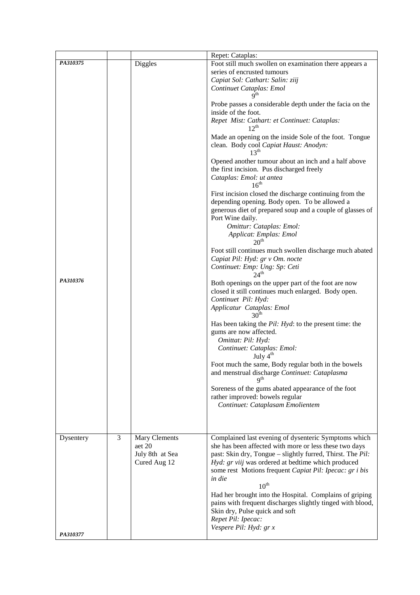|           |   |                           | Repet: Cataplas:                                                                                                              |
|-----------|---|---------------------------|-------------------------------------------------------------------------------------------------------------------------------|
| PA310375  |   | <b>Diggles</b>            | Foot still much swollen on examination there appears a                                                                        |
|           |   |                           | series of encrusted tumours                                                                                                   |
|           |   |                           | Capiat Sol: Cathart: Salin: ziij                                                                                              |
|           |   |                           | Continuet Cataplas: Emol<br>$\mathbf{Q}^{\text{th}}$                                                                          |
|           |   |                           | Probe passes a considerable depth under the facia on the<br>inside of the foot.                                               |
|           |   |                           | Repet Mist: Cathart: et Continuet: Cataplas:<br>$12^{th}$                                                                     |
|           |   |                           | Made an opening on the inside Sole of the foot. Tongue<br>clean. Body cool Capiat Haust: Anodyn:<br>$13^{th}$                 |
|           |   |                           | Opened another tumour about an inch and a half above<br>the first incision. Pus discharged freely<br>Cataplas: Emol: ut antea |
|           |   |                           | $16^{th}$                                                                                                                     |
|           |   |                           | First incision closed the discharge continuing from the<br>depending opening. Body open. To be allowed a                      |
|           |   |                           | generous diet of prepared soup and a couple of glasses of<br>Port Wine daily.                                                 |
|           |   |                           | Omittur: Cataplas: Emol:                                                                                                      |
|           |   |                           | Applicat: Emplas: Emol<br>20 <sup>th</sup>                                                                                    |
|           |   |                           | Foot still continues much swollen discharge much abated                                                                       |
|           |   |                           | Capiat Pil: Hyd: gr v Om. nocte                                                                                               |
|           |   |                           | Continuet: Emp: Ung: Sp: Ceti<br>$24^{\text{th}}$                                                                             |
| PA310376  |   |                           | Both openings on the upper part of the foot are now                                                                           |
|           |   |                           | closed it still continues much enlarged. Body open.                                                                           |
|           |   |                           | Continuet Pil: Hyd:<br>Applicatur Cataplas: Emol                                                                              |
|           |   |                           | 30 <sup>th</sup>                                                                                                              |
|           |   |                           | Has been taking the Pil: Hyd: to the present time: the                                                                        |
|           |   |                           | gums are now affected.<br>Omittat: Pil: Hyd:                                                                                  |
|           |   |                           | Continuet: Cataplas: Emol:                                                                                                    |
|           |   |                           | July 4 <sup>th</sup>                                                                                                          |
|           |   |                           | Foot much the same, Body regular both in the bowels<br>and menstrual discharge Continuet: Cataplasma                          |
|           |   |                           | $\mathbf{Q}^{\text{th}}$                                                                                                      |
|           |   |                           | Soreness of the gums abated appearance of the foot<br>rather improved: bowels regular                                         |
|           |   |                           | Continuet: Cataplasam Emolientem                                                                                              |
|           |   |                           |                                                                                                                               |
|           |   |                           |                                                                                                                               |
| Dysentery | 3 | Mary Clements             | Complained last evening of dysenteric Symptoms which                                                                          |
|           |   | aet 20<br>July 8th at Sea | she has been affected with more or less these two days<br>past: Skin dry, Tongue - slightly furred, Thirst. The Pil:          |
|           |   | Cured Aug 12              | Hyd: gr viij was ordered at bedtime which produced                                                                            |
|           |   |                           | some rest Motions frequent Capiat Pil: Ipecac: gr i bis                                                                       |
|           |   |                           | in die<br>$10^{\text{th}}$                                                                                                    |
|           |   |                           | Had her brought into the Hospital. Complains of griping                                                                       |
|           |   |                           | pains with frequent discharges slightly tinged with blood,                                                                    |
|           |   |                           | Skin dry, Pulse quick and soft                                                                                                |
|           |   |                           | Repet Pil: Ipecac:<br>Vespere Pil: Hyd: gr x                                                                                  |
| PA310377  |   |                           |                                                                                                                               |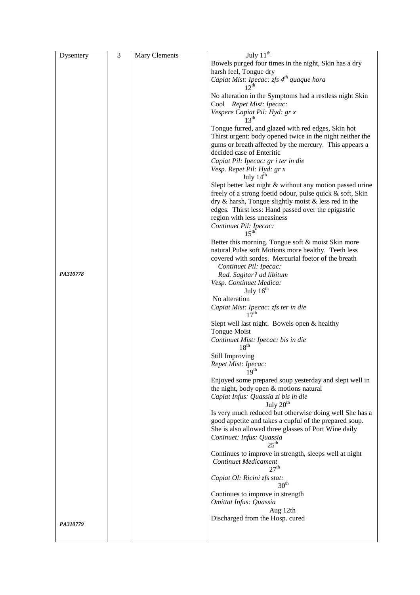| Dysentery | 3 | Mary Clements | July $11^{\text{th}}$                                                                                                     |
|-----------|---|---------------|---------------------------------------------------------------------------------------------------------------------------|
|           |   |               | Bowels purged four times in the night, Skin has a dry                                                                     |
|           |   |               | harsh feel, Tongue dry                                                                                                    |
|           |   |               | Capiat Mist: Ipecac: zfs $4th$ quaque hora<br>$12^{th}$                                                                   |
|           |   |               | No alteration in the Symptoms had a restless night Skin                                                                   |
|           |   |               | Cool Repet Mist: Ipecac:<br>Vespere Capiat Pil: Hyd: gr x                                                                 |
|           |   |               | 13 <sup>th</sup>                                                                                                          |
|           |   |               | Tongue furred, and glazed with red edges, Skin hot                                                                        |
|           |   |               | Thirst urgent: body opened twice in the night neither the<br>gums or breath affected by the mercury. This appears a       |
|           |   |               | decided case of Enteritic                                                                                                 |
|           |   |               | Capiat Pil: Ipecac: gr i ter in die                                                                                       |
|           |   |               | Vesp. Repet Pil: Hyd: gr x<br>July $14th$                                                                                 |
|           |   |               | Slept better last night & without any motion passed urine                                                                 |
|           |   |               | freely of a strong foetid odour, pulse quick & soft, Skin                                                                 |
|           |   |               | $\text{dry } \&$ harsh, Tongue slightly moist $\&$ less red in the<br>edges. Thirst less: Hand passed over the epigastric |
|           |   |               | region with less uneasiness                                                                                               |
|           |   |               | Continuet Pil: Ipecac:                                                                                                    |
|           |   |               | 15 <sup>th</sup>                                                                                                          |
|           |   |               | Better this morning. Tongue soft & moist Skin more                                                                        |
|           |   |               | natural Pulse soft Motions more healthy. Teeth less<br>covered with sordes. Mercurial foetor of the breath                |
|           |   |               | Continuet Pil: Ipecac:                                                                                                    |
| PA310778  |   |               | Rad. Sagitar? ad libitum                                                                                                  |
|           |   |               | Vesp. Continuet Medica:                                                                                                   |
|           |   |               | July $16th$<br>No alteration                                                                                              |
|           |   |               | Capiat Mist: Ipecac: zfs ter in die                                                                                       |
|           |   |               | 17 <sup>th</sup>                                                                                                          |
|           |   |               | Slept well last night. Bowels open & healthy                                                                              |
|           |   |               | <b>Tongue Moist</b><br>Continuet Mist: Ipecac: bis in die                                                                 |
|           |   |               | 18 <sup>th</sup>                                                                                                          |
|           |   |               | Still Improving                                                                                                           |
|           |   |               | Repet Mist: Ipecac:<br>19 <sup>th</sup>                                                                                   |
|           |   |               | Enjoyed some prepared soup yesterday and slept well in                                                                    |
|           |   |               | the night, body open & motions natural                                                                                    |
|           |   |               | Capiat Infus: Quassia zi bis in die                                                                                       |
|           |   |               | July $20th$<br>Is very much reduced but otherwise doing well She has a                                                    |
|           |   |               | good appetite and takes a cupful of the prepared soup.                                                                    |
|           |   |               | She is also allowed three glasses of Port Wine daily                                                                      |
|           |   |               | Coninuet: Infus: Quassia<br>$25^{\text{th}}$                                                                              |
|           |   |               | Continues to improve in strength, sleeps well at night                                                                    |
|           |   |               | Continuet Medicament<br>27 <sup>th</sup>                                                                                  |
|           |   |               | Capiat Ol: Ricini zfs stat:<br>30 <sup>th</sup>                                                                           |
|           |   |               | Continues to improve in strength                                                                                          |
|           |   |               | Omittat Infus: Quassia                                                                                                    |
|           |   |               | Aug 12th                                                                                                                  |
| PA310779  |   |               | Discharged from the Hosp. cured                                                                                           |
|           |   |               |                                                                                                                           |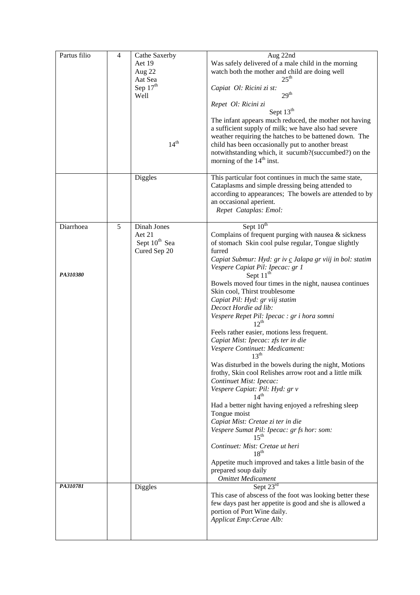| Partus filio | $\overline{4}$ | Cathe Saxerby             | Aug 22nd                                                  |
|--------------|----------------|---------------------------|-----------------------------------------------------------|
|              |                | Aet 19                    | Was safely delivered of a male child in the morning       |
|              |                |                           |                                                           |
|              |                | Aug 22                    | watch both the mother and child are doing well            |
|              |                | Aat Sea                   | $25^{\text{th}}$                                          |
|              |                | Sep $17th$                | Capiat Ol: Ricini zi st:                                  |
|              |                | Well                      | 29 <sup>th</sup>                                          |
|              |                |                           | Repet Ol: Ricini zi                                       |
|              |                |                           | Sept $13th$                                               |
|              |                |                           | The infant appears much reduced, the mother not having    |
|              |                |                           |                                                           |
|              |                |                           | a sufficient supply of milk; we have also had severe      |
|              |                |                           | weather requiring the hatches to be battened down. The    |
|              |                | 14 <sup>th</sup>          | child has been occasionally put to another breast         |
|              |                |                           | notwithstanding which, it sucumb?(succumbed?) on the      |
|              |                |                           | morning of the 14 <sup>th</sup> inst.                     |
|              |                |                           |                                                           |
|              |                | <b>Diggles</b>            | This particular foot continues in much the same state,    |
|              |                |                           | Cataplasms and simple dressing being attended to          |
|              |                |                           |                                                           |
|              |                |                           | according to appearances; The bowels are attended to by   |
|              |                |                           | an occasional aperient.                                   |
|              |                |                           | Repet Cataplas: Emol:                                     |
|              |                |                           |                                                           |
| Diarrhoea    | 5              | Dinah Jones               | Sept $10^{th}$                                            |
|              |                | Aet 21                    | Complains of frequent purging with nausea & sickness      |
|              |                | Sept 10 <sup>th</sup> Sea | of stomach Skin cool pulse regular, Tongue slightly       |
|              |                | Cured Sep 20              | furred                                                    |
|              |                |                           | Capiat Submur: Hyd: gr iv c Jalapa gr viij in bol: statim |
|              |                |                           |                                                           |
|              |                |                           | Vespere Capiat Pil: Ipecac: gr 1                          |
| PA310380     |                |                           | Sept $11th$                                               |
|              |                |                           | Bowels moved four times in the night, nausea continues    |
|              |                |                           | Skin cool, Thirst troublesome                             |
|              |                |                           | Capiat Pil: Hyd: gr viij statim                           |
|              |                |                           | Decoct Hordie ad lib:                                     |
|              |                |                           | Vespere Repet Pil: Ipecac : gr i hora somni               |
|              |                |                           | $12^{\text{th}}$                                          |
|              |                |                           | Feels rather easier, motions less frequent.               |
|              |                |                           | Capiat Mist: Ipecac: zfs ter in die                       |
|              |                |                           |                                                           |
|              |                |                           | Vespere Continuet: Medicament:                            |
|              |                |                           | $13^{\text{th}}$                                          |
|              |                |                           | Was disturbed in the bowels during the night, Motions     |
|              |                |                           | frothy, Skin cool Relishes arrow root and a little milk   |
|              |                |                           | Continuet Mist: Ipecac:                                   |
|              |                |                           | Vespere Capiat: Pil: Hyd: gr v                            |
|              |                |                           | 1 $4^{\text{th}}$                                         |
|              |                |                           | Had a better night having enjoyed a refreshing sleep      |
|              |                |                           | Tongue moist                                              |
|              |                |                           |                                                           |
|              |                |                           | Capiat Mist: Cretae zi ter in die                         |
|              |                |                           | Vespere Sumat Pil: Ipecac: gr fs hor: som:                |
|              |                |                           |                                                           |
|              |                |                           | Continuet: Mist: Cretae ut heri                           |
|              |                |                           | $18^{th}$                                                 |
|              |                |                           | Appetite much improved and takes a little basin of the    |
|              |                |                           | prepared soup daily                                       |
|              |                |                           | <b>Omittet Medicament</b>                                 |
| PA310781     |                | <b>Diggles</b>            | Sept $23^{\overline{rd}}$                                 |
|              |                |                           | This case of abscess of the foot was looking better these |
|              |                |                           | few days past her appetite is good and she is allowed a   |
|              |                |                           | portion of Port Wine daily.                               |
|              |                |                           | Applicat Emp: Cerae Alb:                                  |
|              |                |                           |                                                           |
|              |                |                           |                                                           |
|              |                |                           |                                                           |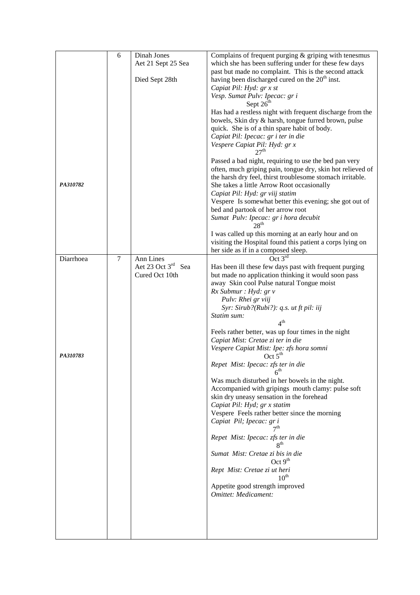|           | 6              | Dinah Jones                    | Complains of frequent purging $&$ griping with tenesmus                                                             |
|-----------|----------------|--------------------------------|---------------------------------------------------------------------------------------------------------------------|
|           |                | Aet 21 Sept 25 Sea             | which she has been suffering under for these few days                                                               |
|           |                |                                | past but made no complaint. This is the second attack                                                               |
|           |                | Died Sept 28th                 | having been discharged cured on the 20 <sup>th</sup> inst.                                                          |
|           |                |                                | Capiat Pil: Hyd: gr x st                                                                                            |
|           |                |                                | Vesp. Sumat Pulv: Ipecac: gr i<br>Sept 26 <sup>th</sup>                                                             |
|           |                |                                | Has had a restless night with frequent discharge from the                                                           |
|           |                |                                | bowels, Skin dry & harsh, tongue furred brown, pulse                                                                |
|           |                |                                | quick. She is of a thin spare habit of body.                                                                        |
|           |                |                                | Capiat Pil: Ipecac: gr i ter in die                                                                                 |
|           |                |                                | Vespere Capiat Pil: Hyd: gr x<br>27 <sup>th</sup>                                                                   |
|           |                |                                |                                                                                                                     |
|           |                |                                | Passed a bad night, requiring to use the bed pan very<br>often, much griping pain, tongue dry, skin hot relieved of |
|           |                |                                | the harsh dry feel, thirst troublesome stomach irritable.                                                           |
| PA310782  |                |                                | She takes a little Arrow Root occasionally                                                                          |
|           |                |                                | Capiat Pil: Hyd: gr viij statim                                                                                     |
|           |                |                                | Vespere Is somewhat better this evening; she got out of                                                             |
|           |                |                                | bed and partook of her arrow root                                                                                   |
|           |                |                                | Sumat Pulv: Ipecac: gr i hora decubit                                                                               |
|           |                |                                | 28 <sup>th</sup>                                                                                                    |
|           |                |                                | I was called up this morning at an early hour and on                                                                |
|           |                |                                | visiting the Hospital found this patient a corps lying on                                                           |
| Diarrhoea | $\overline{7}$ | Ann Lines                      | her side as if in a composed sleep.<br>Oct $3^{\overline{rd}}$                                                      |
|           |                | Aet 23 Oct 3 <sup>rd</sup> Sea | Has been ill these few days past with frequent purging                                                              |
|           |                | Cured Oct 10th                 | but made no application thinking it would soon pass                                                                 |
|           |                |                                | away Skin cool Pulse natural Tongue moist                                                                           |
|           |                |                                | Rx Submur : Hyd: gr v                                                                                               |
|           |                |                                | Pulv: Rhei gr viij                                                                                                  |
|           |                |                                | Syr: Sirub?(Rubi?): q.s. ut ft pil: iij                                                                             |
|           |                |                                | Statim sum:<br>4 <sup>th</sup>                                                                                      |
|           |                |                                | Feels rather better, was up four times in the night                                                                 |
|           |                |                                | Capiat Mist: Cretae zi ter in die                                                                                   |
|           |                |                                | Vespere Capiat Mist: Ipe: zfs hora somni                                                                            |
| PA310783  |                |                                | Oct $5th$                                                                                                           |
|           |                |                                | Repet Mist: Ipecac: zfs ter in die<br>$6^{\text{th}}$                                                               |
|           |                |                                | Was much disturbed in her bowels in the night.                                                                      |
|           |                |                                | Accompanied with gripings mouth clamy: pulse soft                                                                   |
|           |                |                                | skin dry uneasy sensation in the forehead                                                                           |
|           |                |                                | Capiat Pil: Hyd; gr x statim                                                                                        |
|           |                |                                | Vespere Feels rather better since the morning                                                                       |
|           |                |                                | Capiat Pil; Ipecac: gr i                                                                                            |
|           |                |                                | Repet Mist: Ipecac: zfs ter in die<br>$R^{th}$                                                                      |
|           |                |                                | Sumat Mist: Cretae zi bis in die<br>Oct $9th$                                                                       |
|           |                |                                | Rept Mist: Cretae zi ut heri<br>$10^{\text{th}}$                                                                    |
|           |                |                                | Appetite good strength improved                                                                                     |
|           |                |                                | Omittet: Medicament:                                                                                                |
|           |                |                                |                                                                                                                     |
|           |                |                                |                                                                                                                     |
|           |                |                                |                                                                                                                     |
|           |                |                                |                                                                                                                     |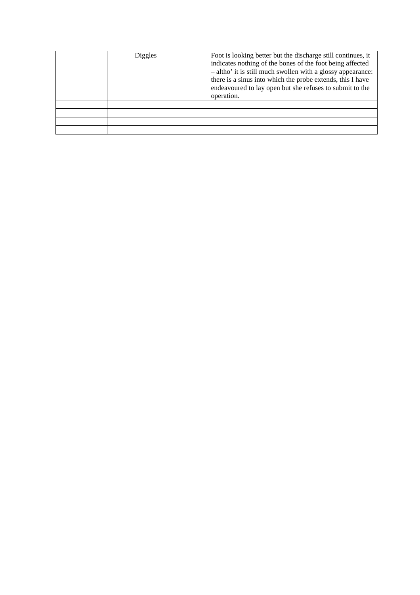|  | Diggles | Foot is looking better but the discharge still continues, it<br>indicates nothing of the bones of the foot being affected<br>- altho' it is still much swollen with a glossy appearance:<br>there is a sinus into which the probe extends, this I have<br>endeavoured to lay open but she refuses to submit to the<br>operation. |
|--|---------|----------------------------------------------------------------------------------------------------------------------------------------------------------------------------------------------------------------------------------------------------------------------------------------------------------------------------------|
|  |         |                                                                                                                                                                                                                                                                                                                                  |
|  |         |                                                                                                                                                                                                                                                                                                                                  |
|  |         |                                                                                                                                                                                                                                                                                                                                  |
|  |         |                                                                                                                                                                                                                                                                                                                                  |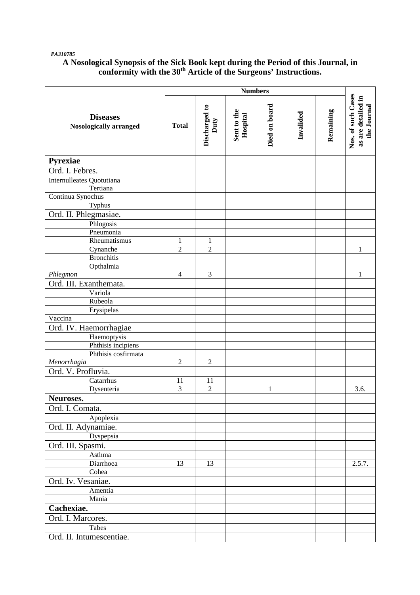#### *PA310785*

## **A Nosological Synopsis of the Sick Book kept during the Period of this Journal, in conformity with the 30th Article of the Surgeons' Instructions.**

|                                                  | <b>Numbers</b> |                       |                         |               |           |           |                                                         |
|--------------------------------------------------|----------------|-----------------------|-------------------------|---------------|-----------|-----------|---------------------------------------------------------|
| <b>Diseases</b><br><b>Nosologically arranged</b> | <b>Total</b>   | Discharged to<br>Duty | Sent to the<br>Hospital | Died on board | Invalided | Remaining | Nos. of such Cases<br>as are detailed in<br>the Journal |
| Pyrexiae                                         |                |                       |                         |               |           |           |                                                         |
| Ord. I. Febres.                                  |                |                       |                         |               |           |           |                                                         |
| Internulleates Quotutiana<br>Tertiana            |                |                       |                         |               |           |           |                                                         |
| Continua Synochus                                |                |                       |                         |               |           |           |                                                         |
| Typhus                                           |                |                       |                         |               |           |           |                                                         |
| Ord. II. Phlegmasiae.                            |                |                       |                         |               |           |           |                                                         |
| Phlogosis                                        |                |                       |                         |               |           |           |                                                         |
| Pneumonia                                        |                |                       |                         |               |           |           |                                                         |
| Rheumatismus                                     | $\mathbf{1}$   | $\mathbf{1}$          |                         |               |           |           |                                                         |
| Cynanche                                         | $\overline{2}$ | $\overline{2}$        |                         |               |           |           | $\mathbf{1}$                                            |
| <b>Bronchitis</b>                                |                |                       |                         |               |           |           |                                                         |
| Opthalmia                                        |                |                       |                         |               |           |           |                                                         |
| Phlegmon                                         | $\overline{4}$ | 3                     |                         |               |           |           | 1                                                       |
| Ord. III. Exanthemata.                           |                |                       |                         |               |           |           |                                                         |
| Variola                                          |                |                       |                         |               |           |           |                                                         |
| Rubeola                                          |                |                       |                         |               |           |           |                                                         |
| Erysipelas                                       |                |                       |                         |               |           |           |                                                         |
| Vaccina                                          |                |                       |                         |               |           |           |                                                         |
| Ord. IV. Haemorrhagiae                           |                |                       |                         |               |           |           |                                                         |
| Haemoptysis                                      |                |                       |                         |               |           |           |                                                         |
| Phthisis incipiens                               |                |                       |                         |               |           |           |                                                         |
| Phthisis cosfirmata                              |                |                       |                         |               |           |           |                                                         |
| Menorrhagia                                      | $\sqrt{2}$     | $\sqrt{2}$            |                         |               |           |           |                                                         |
| Ord. V. Profluvia.                               |                |                       |                         |               |           |           |                                                         |
| Catarrhus                                        | 11             | 11                    |                         |               |           |           |                                                         |
| Dysenteria                                       | 3              | $\overline{2}$        |                         | $\mathbf{1}$  |           |           | 3.6.                                                    |
| Neuroses.                                        |                |                       |                         |               |           |           |                                                         |
| Ord. I. Comata.                                  |                |                       |                         |               |           |           |                                                         |
| Apoplexia                                        |                |                       |                         |               |           |           |                                                         |
| Ord. II. Adynamiae.                              |                |                       |                         |               |           |           |                                                         |
| Dyspepsia                                        |                |                       |                         |               |           |           |                                                         |
| Ord. III. Spasmi.                                |                |                       |                         |               |           |           |                                                         |
| Asthma                                           |                |                       |                         |               |           |           |                                                         |
| Diarrhoea                                        | 13             | 13                    |                         |               |           |           | 2.5.7.                                                  |
| Cohea                                            |                |                       |                         |               |           |           |                                                         |
| Ord. Iv. Vesaniae.                               |                |                       |                         |               |           |           |                                                         |
| Amentia                                          |                |                       |                         |               |           |           |                                                         |
| Mania                                            |                |                       |                         |               |           |           |                                                         |
| Cachexiae.                                       |                |                       |                         |               |           |           |                                                         |
| Ord. I. Marcores.                                |                |                       |                         |               |           |           |                                                         |
| Tabes                                            |                |                       |                         |               |           |           |                                                         |
| Ord. II. Intumescentiae.                         |                |                       |                         |               |           |           |                                                         |
|                                                  |                |                       |                         |               |           |           |                                                         |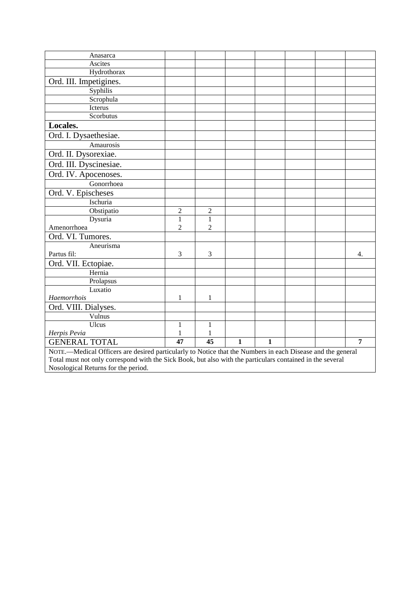| Anasarca                                                                                                   |                  |                 |              |              |  |  |                |  |
|------------------------------------------------------------------------------------------------------------|------------------|-----------------|--------------|--------------|--|--|----------------|--|
| Ascites                                                                                                    |                  |                 |              |              |  |  |                |  |
| Hydrothorax                                                                                                |                  |                 |              |              |  |  |                |  |
| Ord. III. Impetigines.                                                                                     |                  |                 |              |              |  |  |                |  |
| Syphilis                                                                                                   |                  |                 |              |              |  |  |                |  |
| Scrophula                                                                                                  |                  |                 |              |              |  |  |                |  |
| Icterus                                                                                                    |                  |                 |              |              |  |  |                |  |
| Scorbutus                                                                                                  |                  |                 |              |              |  |  |                |  |
| Locales.                                                                                                   |                  |                 |              |              |  |  |                |  |
| Ord. I. Dysaethesiae.                                                                                      |                  |                 |              |              |  |  |                |  |
| Amaurosis                                                                                                  |                  |                 |              |              |  |  |                |  |
| Ord. II. Dysorexiae.                                                                                       |                  |                 |              |              |  |  |                |  |
| Ord. III. Dyscinesiae.                                                                                     |                  |                 |              |              |  |  |                |  |
| Ord. IV. Apocenoses.                                                                                       |                  |                 |              |              |  |  |                |  |
| Gonorrhoea                                                                                                 |                  |                 |              |              |  |  |                |  |
| Ord. V. Epischeses                                                                                         |                  |                 |              |              |  |  |                |  |
| Ischuria                                                                                                   |                  |                 |              |              |  |  |                |  |
| Obstipatio                                                                                                 | $\boldsymbol{2}$ | $\overline{c}$  |              |              |  |  |                |  |
| Dysuria                                                                                                    | $\,1$            | $\mathbf{1}$    |              |              |  |  |                |  |
| Amenorrhoea                                                                                                | $\overline{2}$   | $\overline{2}$  |              |              |  |  |                |  |
| Ord. VI. Tumores.                                                                                          |                  |                 |              |              |  |  |                |  |
| Aneurisma                                                                                                  |                  |                 |              |              |  |  |                |  |
| Partus fil:                                                                                                | 3                | 3               |              |              |  |  | 4.             |  |
| Ord. VII. Ectopiae.                                                                                        |                  |                 |              |              |  |  |                |  |
| Hernia                                                                                                     |                  |                 |              |              |  |  |                |  |
| Prolapsus                                                                                                  |                  |                 |              |              |  |  |                |  |
| Luxatio                                                                                                    |                  |                 |              |              |  |  |                |  |
| Haemorrhois                                                                                                | 1                | 1               |              |              |  |  |                |  |
| Ord. VIII. Dialyses.                                                                                       |                  |                 |              |              |  |  |                |  |
| Vulnus                                                                                                     |                  |                 |              |              |  |  |                |  |
| Ulcus                                                                                                      | $\mathbf{1}$     | $\mathbf{1}$    |              |              |  |  |                |  |
| Herpis Pevia                                                                                               | 1                | 1               |              |              |  |  |                |  |
| <b>GENERAL TOTAL</b>                                                                                       | $\overline{47}$  | $\overline{45}$ | $\mathbf{1}$ | $\mathbf{1}$ |  |  | $\overline{7}$ |  |
| NOTE.-Medical Officers are desired particularly to Notice that the Numbers in each Disease and the general |                  |                 |              |              |  |  |                |  |
| Total must not only correspond with the Sick Book, but also with the particulars contained in the several  |                  |                 |              |              |  |  |                |  |

Nosological Returns for the period.